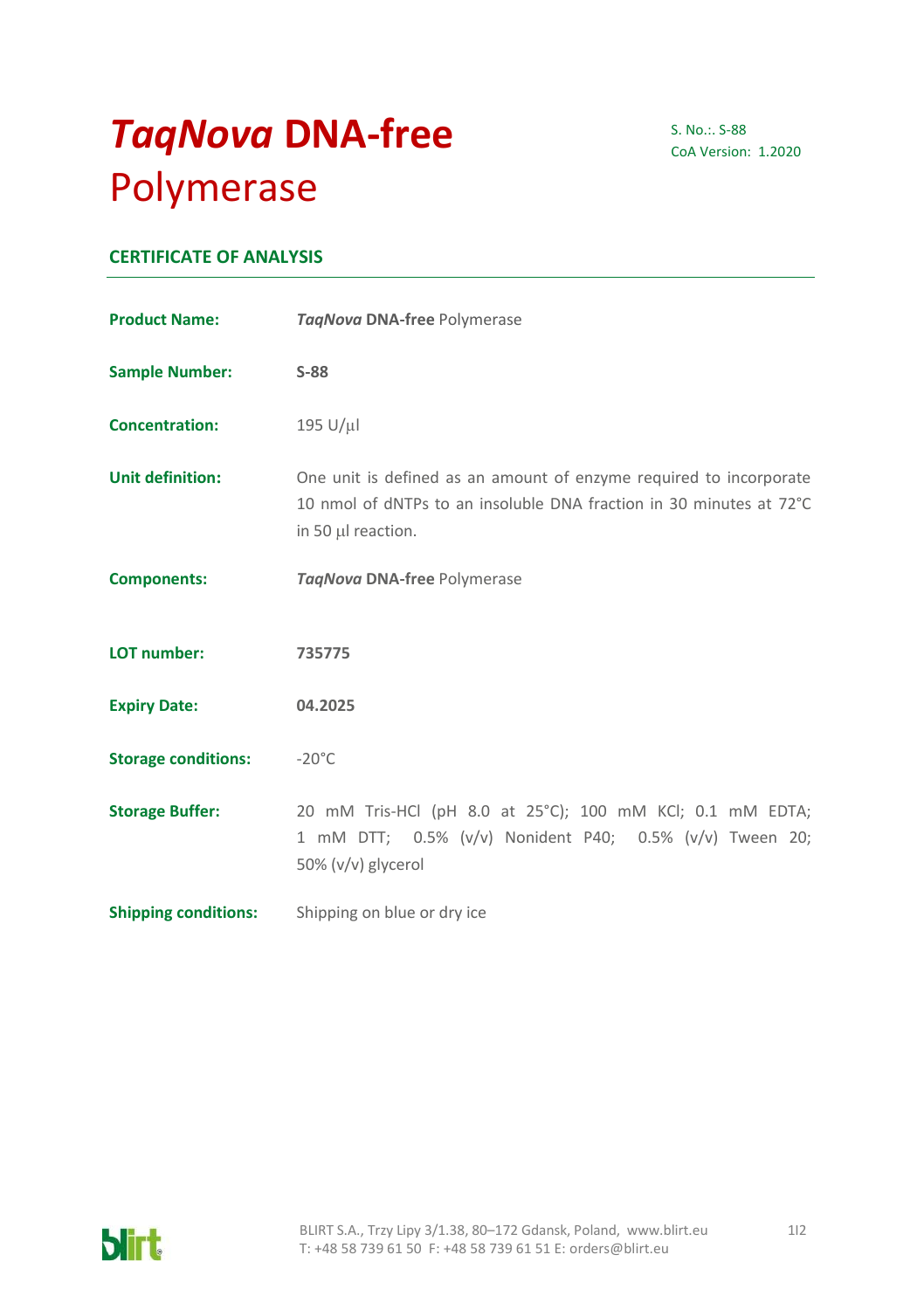# *TaqNova* **DNA-free** Polymerase

S. No.:. S-88 CoA Version: 1.2020

# **CERTIFICATE OF ANALYSIS**

| <b>Product Name:</b>        | TagNova DNA-free Polymerase                                                                                                                                     |
|-----------------------------|-----------------------------------------------------------------------------------------------------------------------------------------------------------------|
| <b>Sample Number:</b>       | $S-88$                                                                                                                                                          |
| <b>Concentration:</b>       | 195 U/µl                                                                                                                                                        |
| <b>Unit definition:</b>     | One unit is defined as an amount of enzyme required to incorporate<br>10 nmol of dNTPs to an insoluble DNA fraction in 30 minutes at 72°C<br>in 50 µl reaction. |
| <b>Components:</b>          | TagNova DNA-free Polymerase                                                                                                                                     |
| LOT number:                 | 735775                                                                                                                                                          |
| <b>Expiry Date:</b>         | 04.2025                                                                                                                                                         |
| <b>Storage conditions:</b>  | $-20^{\circ}$ C                                                                                                                                                 |
| <b>Storage Buffer:</b>      | 20 mM Tris-HCl (pH 8.0 at 25°C); 100 mM KCl; 0.1 mM EDTA;<br>1 mM DTT; 0.5% (v/v) Nonident P40; 0.5% (v/v) Tween 20;<br>50% (v/v) glycerol                      |
| <b>Shipping conditions:</b> | Shipping on blue or dry ice                                                                                                                                     |